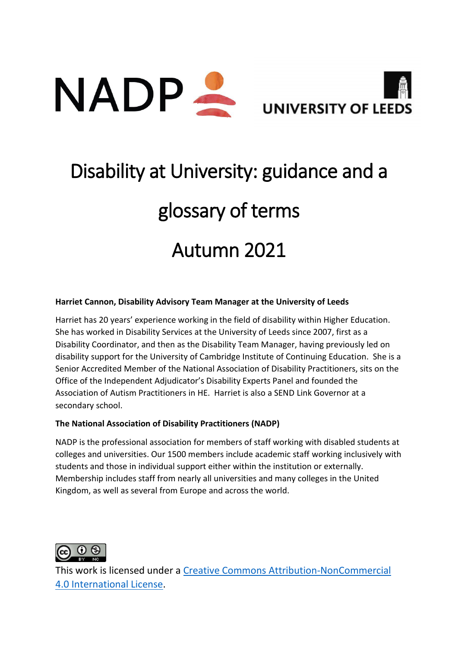



# Disability at University: guidance and a glossary of terms Autumn 2021

#### **Harriet Cannon, Disability Advisory Team Manager at the University of Leeds**

Harriet has 20 years' experience working in the field of disability within Higher Education. She has worked in Disability Services at the University of Leeds since 2007, first as a Disability Coordinator, and then as the Disability Team Manager, having previously led on disability support for the University of Cambridge Institute of Continuing Education. She is a Senior Accredited Member of the National Association of Disability Practitioners, sits on the Office of the Independent Adjudicator's Disability Experts Panel and founded the Association of Autism Practitioners in HE. Harriet is also a SEND Link Governor at a secondary school.

#### **The National Association of Disability Practitioners (NADP)**

NADP is the professional association for members of staff working with disabled students at colleges and universities. Our 1500 members include academic staff working inclusively with students and those in individual support either within the institution or externally. Membership includes staff from nearly all universities and many colleges in the United Kingdom, as well as several from Europe and across the world.



This work is licensed under a [Creative Commons Attribution-NonCommercial](https://creativecommons.org/licenses/by-nc/4.0/)  [4.0 International License.](https://creativecommons.org/licenses/by-nc/4.0/)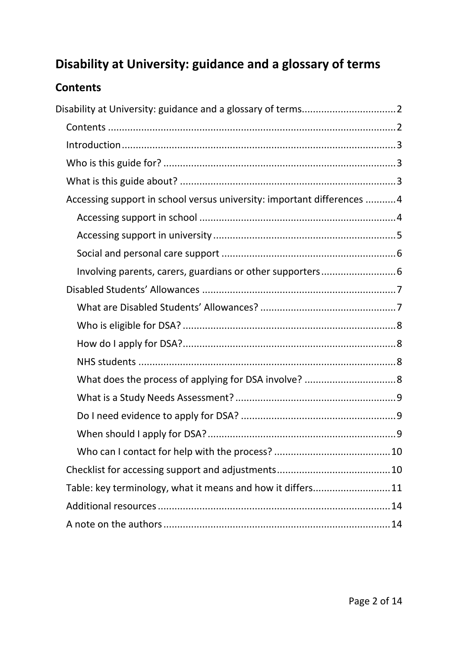## <span id="page-1-0"></span>**Disability at University: guidance and a glossary of terms**

## <span id="page-1-1"></span>**Contents**

| Accessing support in school versus university: important differences 4 |  |
|------------------------------------------------------------------------|--|
|                                                                        |  |
|                                                                        |  |
|                                                                        |  |
|                                                                        |  |
|                                                                        |  |
|                                                                        |  |
|                                                                        |  |
|                                                                        |  |
|                                                                        |  |
|                                                                        |  |
|                                                                        |  |
|                                                                        |  |
|                                                                        |  |
|                                                                        |  |
|                                                                        |  |
| Table: key terminology, what it means and how it differs11             |  |
|                                                                        |  |
|                                                                        |  |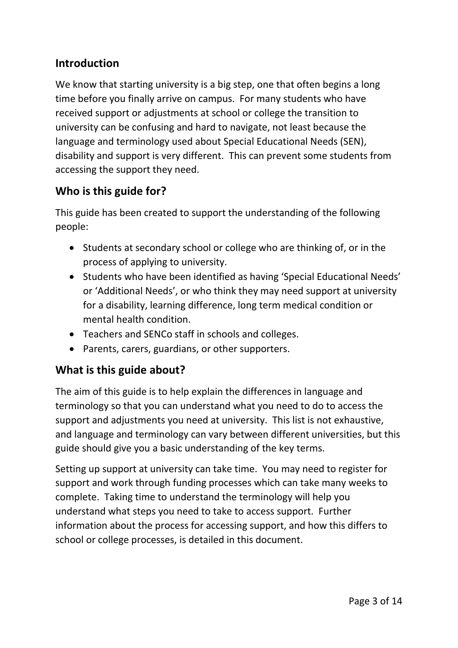## <span id="page-2-0"></span>**Introduction**

We know that starting university is a big step, one that often begins a long time before you finally arrive on campus. For many students who have received support or adjustments at school or college the transition to university can be confusing and hard to navigate, not least because the language and terminology used about Special Educational Needs (SEN), disability and support is very different. This can prevent some students from accessing the support they need.

## <span id="page-2-1"></span>**Who is this guide for?**

This guide has been created to support the understanding of the following people:

- Students at secondary school or college who are thinking of, or in the process of applying to university.
- Students who have been identified as having 'Special Educational Needs' or 'Additional Needs', or who think they may need support at university for a disability, learning difference, long term medical condition or mental health condition.
- Teachers and SENCo staff in schools and colleges.
- Parents, carers, guardians, or other supporters.

## <span id="page-2-2"></span>**What is this guide about?**

The aim of this guide is to help explain the differences in language and terminology so that you can understand what you need to do to access the support and adjustments you need at university. This list is not exhaustive, and language and terminology can vary between different universities, but this guide should give you a basic understanding of the key terms.

Setting up support at university can take time. You may need to register for support and work through funding processes which can take many weeks to complete. Taking time to understand the terminology will help you understand what steps you need to take to access support. Further information about the process for accessing support, and how this differs to school or college processes, is detailed in this document.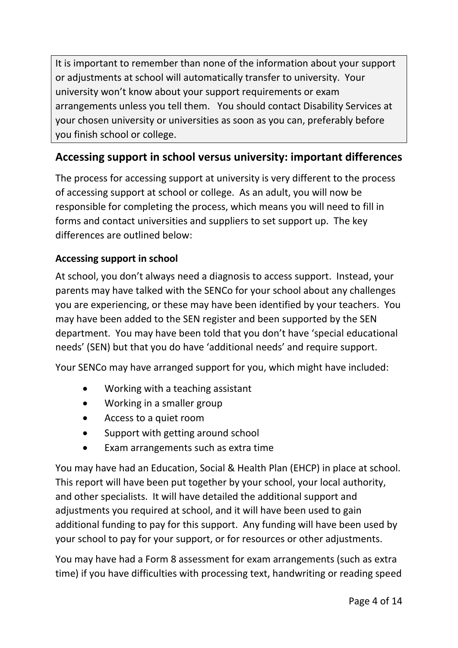It is important to remember than none of the information about your support or adjustments at school will automatically transfer to university. Your university won't know about your support requirements or exam arrangements unless you tell them. You should contact Disability Services at your chosen university or universities as soon as you can, preferably before you finish school or college.

## <span id="page-3-0"></span>**Accessing support in school versus university: important differences**

The process for accessing support at university is very different to the process of accessing support at school or college. As an adult, you will now be responsible for completing the process, which means you will need to fill in forms and contact universities and suppliers to set support up. The key differences are outlined below:

## <span id="page-3-1"></span>**Accessing support in school**

At school, you don't always need a diagnosis to access support. Instead, your parents may have talked with the SENCo for your school about any challenges you are experiencing, or these may have been identified by your teachers. You may have been added to the SEN register and been supported by the SEN department. You may have been told that you don't have 'special educational needs' (SEN) but that you do have 'additional needs' and require support.

Your SENCo may have arranged support for you, which might have included:

- Working with a teaching assistant
- Working in a smaller group
- Access to a quiet room
- Support with getting around school
- Exam arrangements such as extra time

You may have had an Education, Social & Health Plan (EHCP) in place at school. This report will have been put together by your school, your local authority, and other specialists. It will have detailed the additional support and adjustments you required at school, and it will have been used to gain additional funding to pay for this support. Any funding will have been used by your school to pay for your support, or for resources or other adjustments.

You may have had a Form 8 assessment for exam arrangements (such as extra time) if you have difficulties with processing text, handwriting or reading speed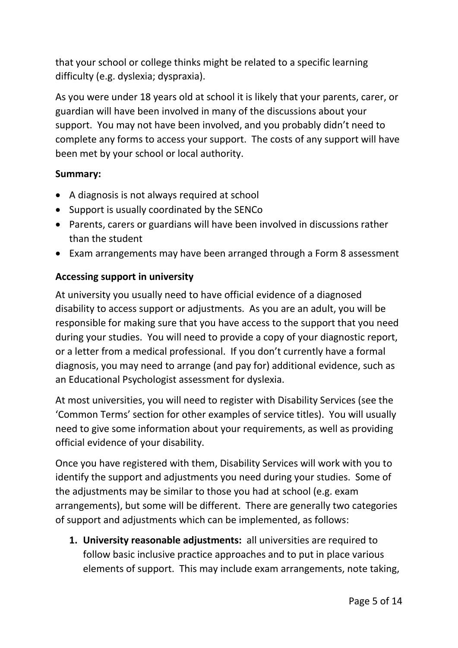that your school or college thinks might be related to a specific learning difficulty (e.g. dyslexia; dyspraxia).

As you were under 18 years old at school it is likely that your parents, carer, or guardian will have been involved in many of the discussions about your support. You may not have been involved, and you probably didn't need to complete any forms to access your support. The costs of any support will have been met by your school or local authority.

#### **Summary:**

- A diagnosis is not always required at school
- Support is usually coordinated by the SENCo
- Parents, carers or guardians will have been involved in discussions rather than the student
- Exam arrangements may have been arranged through a Form 8 assessment

## <span id="page-4-0"></span>**Accessing support in university**

At university you usually need to have official evidence of a diagnosed disability to access support or adjustments. As you are an adult, you will be responsible for making sure that you have access to the support that you need during your studies. You will need to provide a copy of your diagnostic report, or a letter from a medical professional. If you don't currently have a formal diagnosis, you may need to arrange (and pay for) additional evidence, such as an Educational Psychologist assessment for dyslexia.

At most universities, you will need to register with Disability Services (see the 'Common Terms' section for other examples of service titles). You will usually need to give some information about your requirements, as well as providing official evidence of your disability.

Once you have registered with them, Disability Services will work with you to identify the support and adjustments you need during your studies. Some of the adjustments may be similar to those you had at school (e.g. exam arrangements), but some will be different. There are generally two categories of support and adjustments which can be implemented, as follows:

**1. University reasonable adjustments:** all universities are required to follow basic inclusive practice approaches and to put in place various elements of support. This may include exam arrangements, note taking,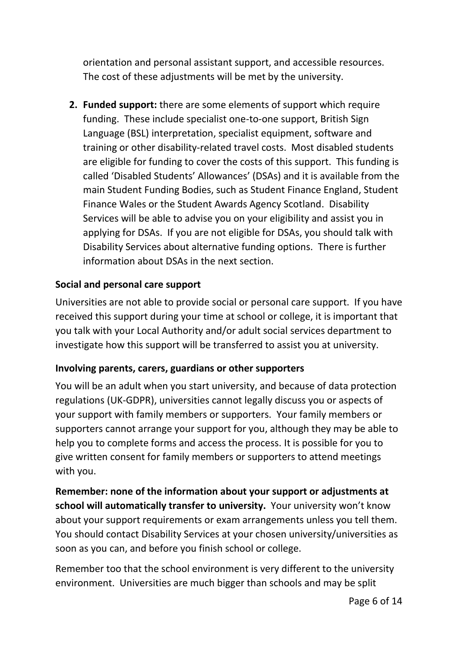orientation and personal assistant support, and accessible resources. The cost of these adjustments will be met by the university.

**2. Funded support:** there are some elements of support which require funding. These include specialist one-to-one support, British Sign Language (BSL) interpretation, specialist equipment, software and training or other disability-related travel costs. Most disabled students are eligible for funding to cover the costs of this support. This funding is called 'Disabled Students' Allowances' (DSAs) and it is available from the main Student Funding Bodies, such as Student Finance England, Student Finance Wales or the Student Awards Agency Scotland. Disability Services will be able to advise you on your eligibility and assist you in applying for DSAs. If you are not eligible for DSAs, you should talk with Disability Services about alternative funding options. There is further information about DSAs in the next section.

## <span id="page-5-0"></span>**Social and personal care support**

Universities are not able to provide social or personal care support. If you have received this support during your time at school or college, it is important that you talk with your Local Authority and/or adult social services department to investigate how this support will be transferred to assist you at university.

## <span id="page-5-1"></span>**Involving parents, carers, guardians or other supporters**

You will be an adult when you start university, and because of data protection regulations (UK-GDPR), universities cannot legally discuss you or aspects of your support with family members or supporters.Your family members or supporters cannot arrange your support for you, although they may be able to help you to complete forms and access the process. It is possible for you to give written consent for family members or supporters to attend meetings with you.

**Remember: none of the information about your support or adjustments at school will automatically transfer to university.** Your university won't know about your support requirements or exam arrangements unless you tell them. You should contact Disability Services at your chosen university/universities as soon as you can, and before you finish school or college.

Remember too that the school environment is very different to the university environment. Universities are much bigger than schools and may be split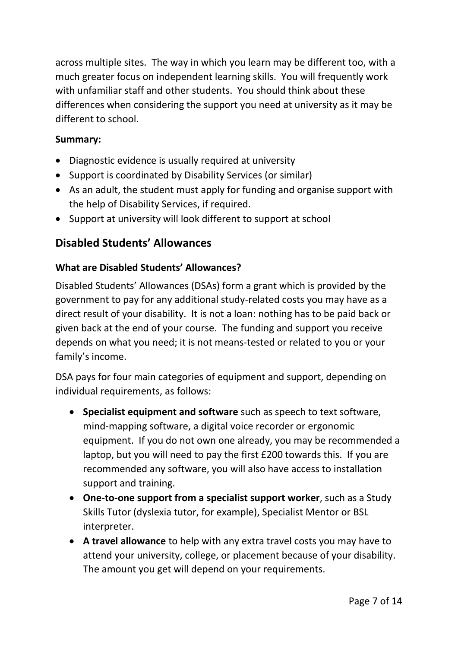across multiple sites. The way in which you learn may be different too, with a much greater focus on independent learning skills. You will frequently work with unfamiliar staff and other students. You should think about these differences when considering the support you need at university as it may be different to school.

### **Summary:**

- Diagnostic evidence is usually required at university
- Support is coordinated by Disability Services (or similar)
- As an adult, the student must apply for funding and organise support with the help of Disability Services, if required.
- Support at university will look different to support at school

## <span id="page-6-0"></span>**Disabled Students' Allowances**

### <span id="page-6-1"></span>**What are Disabled Students' Allowances?**

Disabled Students' Allowances (DSAs) form a grant which is provided by the government to pay for any additional study-related costs you may have as a direct result of your disability. It is not a loan: nothing has to be paid back or given back at the end of your course. The funding and support you receive depends on what you need; it is not means-tested or related to you or your family's income.

DSA pays for four main categories of equipment and support, depending on individual requirements, as follows:

- **Specialist equipment and software** such as speech to text software, mind-mapping software, a digital voice recorder or ergonomic equipment. If you do not own one already, you may be recommended a laptop, but you will need to pay the first £200 towards this. If you are recommended any software, you will also have access to installation support and training.
- **One-to-one support from a specialist support worker**, such as a Study Skills Tutor (dyslexia tutor, for example), Specialist Mentor or BSL interpreter.
- **A travel allowance** to help with any extra travel costs you may have to attend your university, college, or placement because of your disability. The amount you get will depend on your requirements.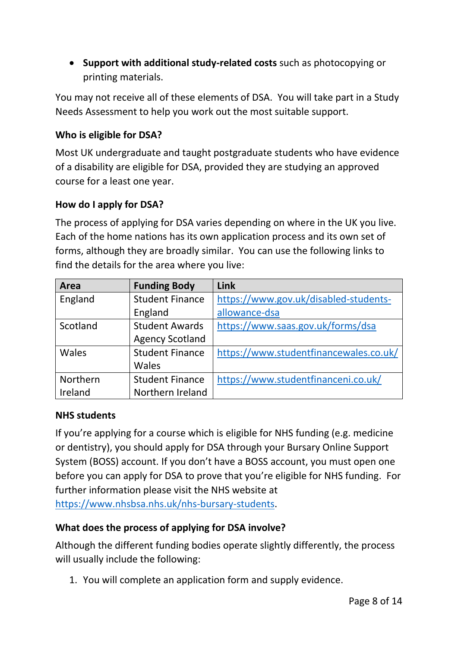• **Support with additional study-related costs** such as photocopying or printing materials.

You may not receive all of these elements of DSA. You will take part in a Study Needs Assessment to help you work out the most suitable support.

## <span id="page-7-0"></span>**Who is eligible for DSA?**

Most UK undergraduate and taught postgraduate students who have evidence of a disability are eligible for DSA, provided they are studying an approved course for a least one year.

### <span id="page-7-1"></span>**How do I apply for DSA?**

The process of applying for DSA varies depending on where in the UK you live. Each of the home nations has its own application process and its own set of forms, although they are broadly similar. You can use the following links to find the details for the area where you live:

| Area     | <b>Funding Body</b>    | Link                                   |
|----------|------------------------|----------------------------------------|
| England  | <b>Student Finance</b> | https://www.gov.uk/disabled-students-  |
|          | England                | allowance-dsa                          |
| Scotland | <b>Student Awards</b>  | https://www.saas.gov.uk/forms/dsa      |
|          | <b>Agency Scotland</b> |                                        |
| Wales    | <b>Student Finance</b> | https://www.studentfinancewales.co.uk/ |
|          | Wales                  |                                        |
| Northern | <b>Student Finance</b> | https://www.studentfinanceni.co.uk/    |
| Ireland  | Northern Ireland       |                                        |

#### <span id="page-7-2"></span>**NHS students**

If you're applying for a course which is eligible for NHS funding (e.g. medicine or dentistry), you should apply for DSA through your Bursary Online Support System (BOSS) account. If you don't have a BOSS account, you must open one before you can apply for DSA to prove that you're eligible for NHS funding. For further information please visit the NHS website at [https://www.nhsbsa.nhs.uk/nhs-bursary-students.](https://www.nhsbsa.nhs.uk/nhs-bursary-students)

#### <span id="page-7-3"></span>**What does the process of applying for DSA involve?**

Although the different funding bodies operate slightly differently, the process will usually include the following:

1. You will complete an application form and supply evidence.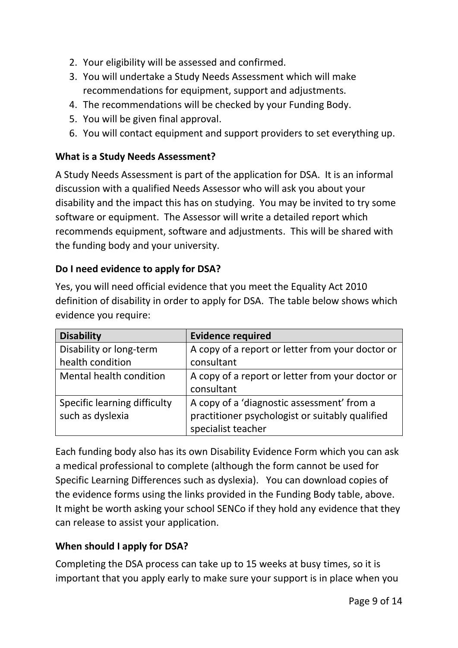- 2. Your eligibility will be assessed and confirmed.
- 3. You will undertake a Study Needs Assessment which will make recommendations for equipment, support and adjustments.
- 4. The recommendations will be checked by your Funding Body.
- 5. You will be given final approval.
- 6. You will contact equipment and support providers to set everything up.

#### <span id="page-8-0"></span>**What is a Study Needs Assessment?**

A Study Needs Assessment is part of the application for DSA. It is an informal discussion with a qualified Needs Assessor who will ask you about your disability and the impact this has on studying. You may be invited to try some software or equipment. The Assessor will write a detailed report which recommends equipment, software and adjustments. This will be shared with the funding body and your university.

#### <span id="page-8-1"></span>**Do I need evidence to apply for DSA?**

Yes, you will need official evidence that you meet the Equality Act 2010 definition of disability in order to apply for DSA. The table below shows which evidence you require:

| <b>Disability</b>            | <b>Evidence required</b>                         |
|------------------------------|--------------------------------------------------|
| Disability or long-term      | A copy of a report or letter from your doctor or |
| health condition             | consultant                                       |
| Mental health condition      | A copy of a report or letter from your doctor or |
|                              | consultant                                       |
| Specific learning difficulty | A copy of a 'diagnostic assessment' from a       |
| such as dyslexia             | practitioner psychologist or suitably qualified  |
|                              | specialist teacher                               |

Each funding body also has its own Disability Evidence Form which you can ask a medical professional to complete (although the form cannot be used for Specific Learning Differences such as dyslexia). You can download copies of the evidence forms using the links provided in the Funding Body table, above. It might be worth asking your school SENCo if they hold any evidence that they can release to assist your application.

#### <span id="page-8-2"></span>**When should I apply for DSA?**

Completing the DSA process can take up to 15 weeks at busy times, so it is important that you apply early to make sure your support is in place when you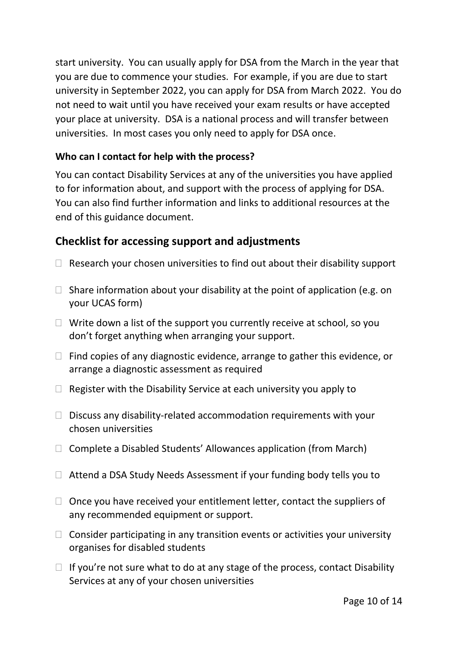start university. You can usually apply for DSA from the March in the year that you are due to commence your studies. For example, if you are due to start university in September 2022, you can apply for DSA from March 2022. You do not need to wait until you have received your exam results or have accepted your place at university. DSA is a national process and will transfer between universities. In most cases you only need to apply for DSA once.

## <span id="page-9-0"></span>**Who can I contact for help with the process?**

You can contact Disability Services at any of the universities you have applied to for information about, and support with the process of applying for DSA. You can also find further information and links to additional resources at the end of this guidance document.

## <span id="page-9-1"></span>**Checklist for accessing support and adjustments**

- $\Box$  Research your chosen universities to find out about their disability support
- $\Box$  Share information about your disability at the point of application (e.g. on your UCAS form)
- $\Box$  Write down a list of the support you currently receive at school, so you don't forget anything when arranging your support.
- $\Box$  Find copies of any diagnostic evidence, arrange to gather this evidence, or arrange a diagnostic assessment as required
- $\Box$  Register with the Disability Service at each university you apply to
- $\Box$  Discuss any disability-related accommodation requirements with your chosen universities
- $\Box$  Complete a Disabled Students' Allowances application (from March)
- $\Box$  Attend a DSA Study Needs Assessment if your funding body tells you to
- $\Box$  Once you have received your entitlement letter, contact the suppliers of any recommended equipment or support.
- $\Box$  Consider participating in any transition events or activities your university organises for disabled students
- $\Box$  If you're not sure what to do at any stage of the process, contact Disability Services at any of your chosen universities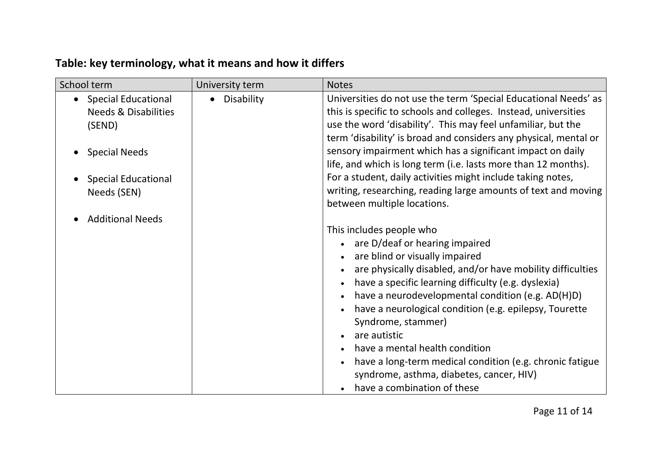## **Table: key terminology, what it means and how it differs**

<span id="page-10-0"></span>

| School term                             | University term | <b>Notes</b>                                                     |
|-----------------------------------------|-----------------|------------------------------------------------------------------|
| <b>Special Educational</b><br>$\bullet$ | • Disability    | Universities do not use the term 'Special Educational Needs' as  |
| <b>Needs &amp; Disabilities</b>         |                 | this is specific to schools and colleges. Instead, universities  |
| (SEND)                                  |                 | use the word 'disability'. This may feel unfamiliar, but the     |
|                                         |                 | term 'disability' is broad and considers any physical, mental or |
| <b>Special Needs</b>                    |                 | sensory impairment which has a significant impact on daily       |
|                                         |                 | life, and which is long term (i.e. lasts more than 12 months).   |
| <b>Special Educational</b>              |                 | For a student, daily activities might include taking notes,      |
| Needs (SEN)                             |                 | writing, researching, reading large amounts of text and moving   |
|                                         |                 | between multiple locations.                                      |
| <b>Additional Needs</b>                 |                 |                                                                  |
|                                         |                 | This includes people who                                         |
|                                         |                 | • are D/deaf or hearing impaired                                 |
|                                         |                 | are blind or visually impaired                                   |
|                                         |                 | are physically disabled, and/or have mobility difficulties       |
|                                         |                 | have a specific learning difficulty (e.g. dyslexia)              |
|                                         |                 | have a neurodevelopmental condition (e.g. AD(H)D)                |
|                                         |                 | have a neurological condition (e.g. epilepsy, Tourette           |
|                                         |                 | Syndrome, stammer)                                               |
|                                         |                 | are autistic                                                     |
|                                         |                 | have a mental health condition                                   |
|                                         |                 | have a long-term medical condition (e.g. chronic fatigue         |
|                                         |                 | syndrome, asthma, diabetes, cancer, HIV)                         |
|                                         |                 | have a combination of these                                      |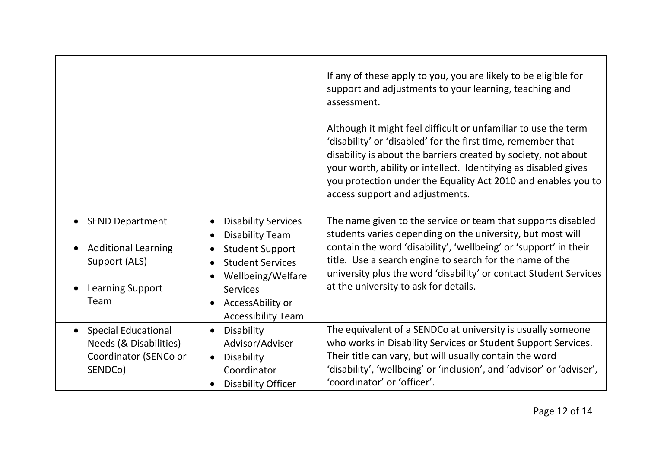|                                                                                                       |                                                                                                                                                                                                    | If any of these apply to you, you are likely to be eligible for<br>support and adjustments to your learning, teaching and<br>assessment.<br>Although it might feel difficult or unfamiliar to use the term<br>'disability' or 'disabled' for the first time, remember that<br>disability is about the barriers created by society, not about<br>your worth, ability or intellect. Identifying as disabled gives<br>you protection under the Equality Act 2010 and enables you to<br>access support and adjustments. |
|-------------------------------------------------------------------------------------------------------|----------------------------------------------------------------------------------------------------------------------------------------------------------------------------------------------------|---------------------------------------------------------------------------------------------------------------------------------------------------------------------------------------------------------------------------------------------------------------------------------------------------------------------------------------------------------------------------------------------------------------------------------------------------------------------------------------------------------------------|
| <b>SEND Department</b><br><b>Additional Learning</b><br>Support (ALS)<br>Learning Support<br>Team     | <b>Disability Services</b><br><b>Disability Team</b><br><b>Student Support</b><br><b>Student Services</b><br>Wellbeing/Welfare<br><b>Services</b><br>AccessAbility or<br><b>Accessibility Team</b> | The name given to the service or team that supports disabled<br>students varies depending on the university, but most will<br>contain the word 'disability', 'wellbeing' or 'support' in their<br>title. Use a search engine to search for the name of the<br>university plus the word 'disability' or contact Student Services<br>at the university to ask for details.                                                                                                                                            |
| <b>Special Educational</b><br>$\bullet$<br>Needs (& Disabilities)<br>Coordinator (SENCo or<br>SENDCo) | Disability<br>$\bullet$<br>Advisor/Adviser<br>Disability<br>Coordinator<br><b>Disability Officer</b>                                                                                               | The equivalent of a SENDCo at university is usually someone<br>who works in Disability Services or Student Support Services.<br>Their title can vary, but will usually contain the word<br>'disability', 'wellbeing' or 'inclusion', and 'advisor' or 'adviser',<br>'coordinator' or 'officer'.                                                                                                                                                                                                                     |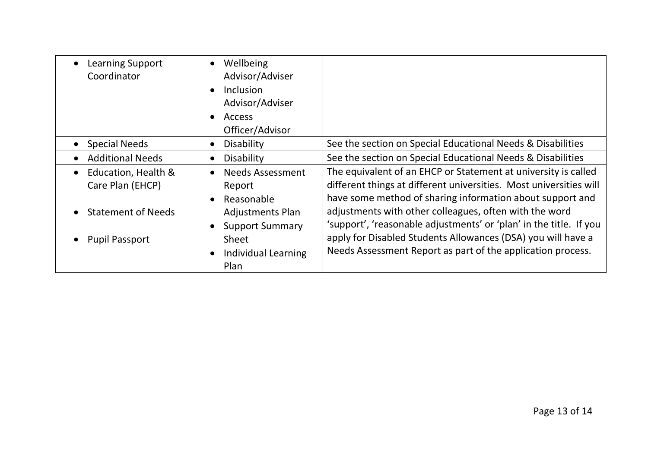| <b>Learning Support</b><br>Coordinator               | Wellbeing<br>$\bullet$<br>Advisor/Adviser<br>Inclusion<br>$\bullet$<br>Advisor/Adviser<br>Access<br>$\bullet$<br>Officer/Advisor |                                                                                                                                                                                                   |
|------------------------------------------------------|----------------------------------------------------------------------------------------------------------------------------------|---------------------------------------------------------------------------------------------------------------------------------------------------------------------------------------------------|
| <b>Special Needs</b>                                 | Disability<br>$\bullet$                                                                                                          | See the section on Special Educational Needs & Disabilities                                                                                                                                       |
| <b>Additional Needs</b>                              | Disability<br>$\bullet$                                                                                                          | See the section on Special Educational Needs & Disabilities                                                                                                                                       |
| Education, Health &<br>$\bullet$<br>Care Plan (EHCP) | <b>Needs Assessment</b><br>$\bullet$<br>Report<br>Reasonable<br>$\bullet$                                                        | The equivalent of an EHCP or Statement at university is called<br>different things at different universities. Most universities will<br>have some method of sharing information about support and |
| <b>Statement of Needs</b>                            | <b>Adjustments Plan</b><br><b>Support Summary</b>                                                                                | adjustments with other colleagues, often with the word<br>'support', 'reasonable adjustments' or 'plan' in the title. If you                                                                      |
| <b>Pupil Passport</b>                                | Sheet<br>Individual Learning<br>Plan                                                                                             | apply for Disabled Students Allowances (DSA) you will have a<br>Needs Assessment Report as part of the application process.                                                                       |